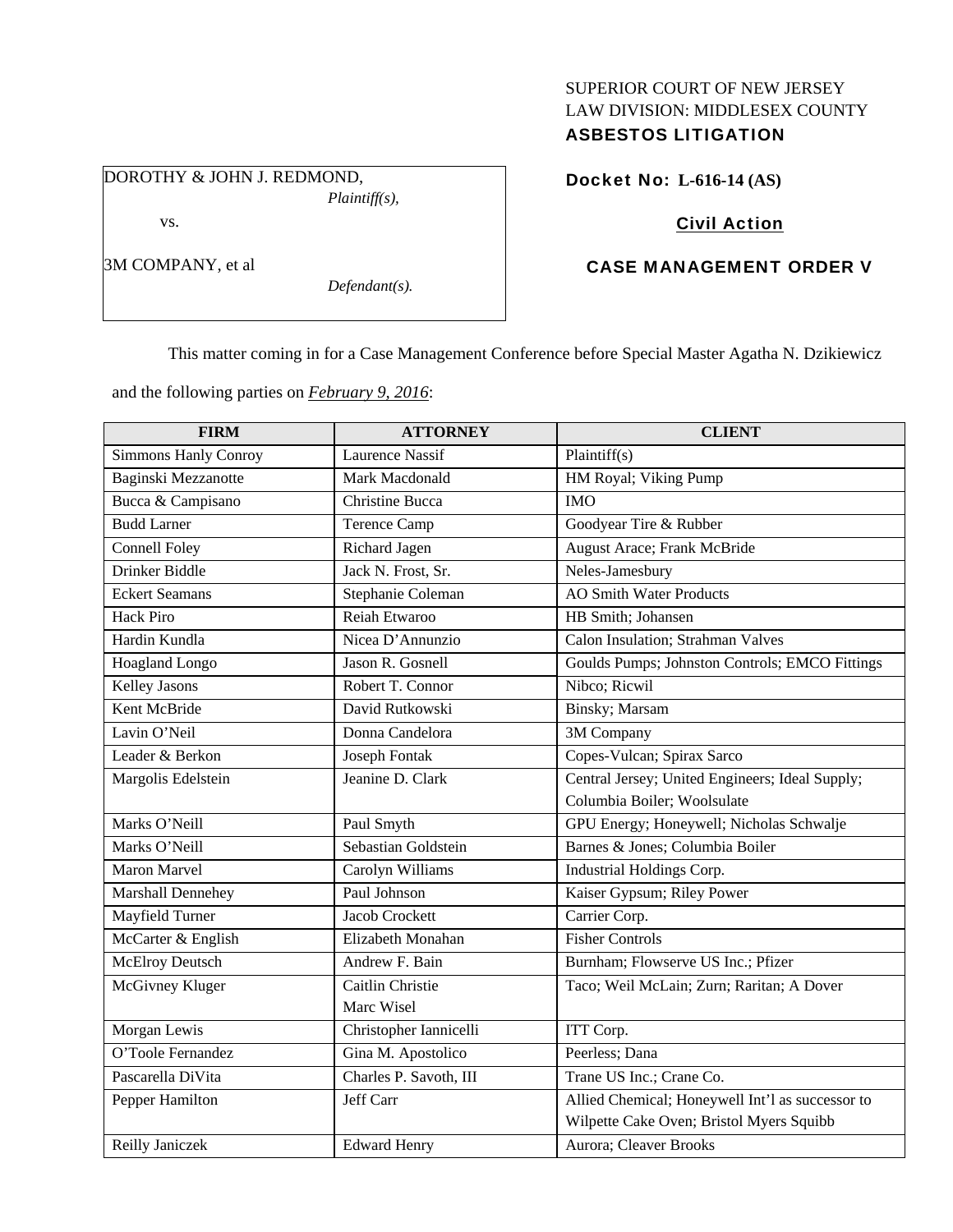### SUPERIOR COURT OF NEW JERSEY LAW DIVISION: MIDDLESEX COUNTY ASBESTOS LITIGATION

DOROTHY & JOHN J. REDMOND, *Plaintiff(s),*  vs.

3M COMPANY, et al

Docket No: **L-616-14 (AS)** 

## Civil Action

# CASE MANAGEMENT ORDER V

This matter coming in for a Case Management Conference before Special Master Agatha N. Dzikiewicz

and the following parties on *February 9, 2016*:

*Defendant(s).* 

| <b>FIRM</b>           | <b>ATTORNEY</b>        | <b>CLIENT</b>                                    |
|-----------------------|------------------------|--------------------------------------------------|
| Simmons Hanly Conroy  | <b>Laurence Nassif</b> | Plaintiff $(s)$                                  |
| Baginski Mezzanotte   | Mark Macdonald         | HM Royal; Viking Pump                            |
| Bucca & Campisano     | Christine Bucca        | <b>IMO</b>                                       |
| <b>Budd Larner</b>    | <b>Terence Camp</b>    | Goodyear Tire & Rubber                           |
| <b>Connell Foley</b>  | Richard Jagen          | August Arace; Frank McBride                      |
| Drinker Biddle        | Jack N. Frost, Sr.     | Neles-Jamesbury                                  |
| <b>Eckert Seamans</b> | Stephanie Coleman      | <b>AO Smith Water Products</b>                   |
| <b>Hack Piro</b>      | Reiah Etwaroo          | HB Smith; Johansen                               |
| Hardin Kundla         | Nicea D'Annunzio       | Calon Insulation; Strahman Valves                |
| Hoagland Longo        | Jason R. Gosnell       | Goulds Pumps; Johnston Controls; EMCO Fittings   |
| Kelley Jasons         | Robert T. Connor       | Nibco; Ricwil                                    |
| Kent McBride          | David Rutkowski        | Binsky; Marsam                                   |
| Lavin O'Neil          | Donna Candelora        | 3M Company                                       |
| Leader & Berkon       | Joseph Fontak          | Copes-Vulcan; Spirax Sarco                       |
| Margolis Edelstein    | Jeanine D. Clark       | Central Jersey; United Engineers; Ideal Supply;  |
|                       |                        | Columbia Boiler; Woolsulate                      |
| Marks O'Neill         | Paul Smyth             | GPU Energy; Honeywell; Nicholas Schwalje         |
| Marks O'Neill         | Sebastian Goldstein    | Barnes & Jones; Columbia Boiler                  |
| Maron Marvel          | Carolyn Williams       | Industrial Holdings Corp.                        |
| Marshall Dennehey     | Paul Johnson           | Kaiser Gypsum; Riley Power                       |
| Mayfield Turner       | Jacob Crockett         | Carrier Corp.                                    |
| McCarter & English    | Elizabeth Monahan      | <b>Fisher Controls</b>                           |
| McElroy Deutsch       | Andrew F. Bain         | Burnham; Flowserve US Inc.; Pfizer               |
| McGivney Kluger       | Caitlin Christie       | Taco; Weil McLain; Zurn; Raritan; A Dover        |
|                       | Marc Wisel             |                                                  |
| Morgan Lewis          | Christopher Iannicelli | ITT Corp.                                        |
| O'Toole Fernandez     | Gina M. Apostolico     | Peerless; Dana                                   |
| Pascarella DiVita     | Charles P. Savoth, III | Trane US Inc.; Crane Co.                         |
| Pepper Hamilton       | Jeff Carr              | Allied Chemical; Honeywell Int'l as successor to |
|                       |                        | Wilpette Cake Oven; Bristol Myers Squibb         |
| Reilly Janiczek       | <b>Edward Henry</b>    | Aurora; Cleaver Brooks                           |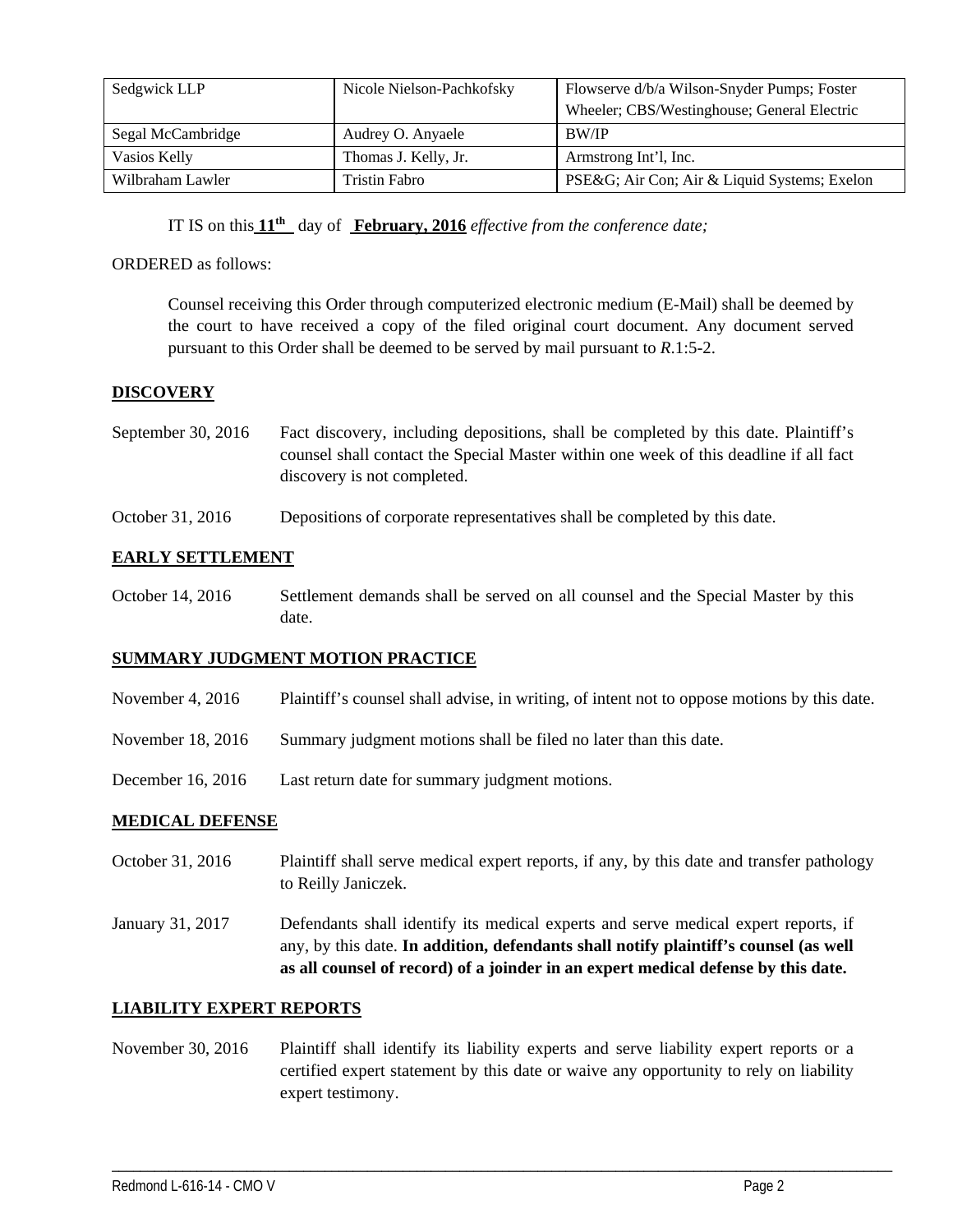| Sedgwick LLP      | Nicole Nielson-Pachkofsky | Flowserve d/b/a Wilson-Snyder Pumps; Foster |
|-------------------|---------------------------|---------------------------------------------|
|                   |                           | Wheeler; CBS/Westinghouse; General Electric |
| Segal McCambridge | Audrey O. Anyaele         | <b>BW/IP</b>                                |
| Vasios Kelly      | Thomas J. Kelly, Jr.      | Armstrong Int'l, Inc.                       |
| Wilbraham Lawler  | Tristin Fabro             | PSE&G Air Con; Air & Liquid Systems; Exelon |

IT IS on this **11th** day of **February, 2016** *effective from the conference date;*

#### ORDERED as follows:

Counsel receiving this Order through computerized electronic medium (E-Mail) shall be deemed by the court to have received a copy of the filed original court document. Any document served pursuant to this Order shall be deemed to be served by mail pursuant to *R*.1:5-2.

#### **DISCOVERY**

| September 30, 2016 | Fact discovery, including depositions, shall be completed by this date. Plaintiff's   |
|--------------------|---------------------------------------------------------------------------------------|
|                    | counsel shall contact the Special Master within one week of this deadline if all fact |
|                    | discovery is not completed.                                                           |

October 31, 2016 Depositions of corporate representatives shall be completed by this date.

#### **EARLY SETTLEMENT**

October 14, 2016 Settlement demands shall be served on all counsel and the Special Master by this date.

#### **SUMMARY JUDGMENT MOTION PRACTICE**

- November 4, 2016 Plaintiff's counsel shall advise, in writing, of intent not to oppose motions by this date.
- November 18, 2016 Summary judgment motions shall be filed no later than this date.
- December 16, 2016 Last return date for summary judgment motions.

#### **MEDICAL DEFENSE**

- October 31, 2016 Plaintiff shall serve medical expert reports, if any, by this date and transfer pathology to Reilly Janiczek.
- January 31, 2017 Defendants shall identify its medical experts and serve medical expert reports, if any, by this date. **In addition, defendants shall notify plaintiff's counsel (as well as all counsel of record) of a joinder in an expert medical defense by this date.**

#### **LIABILITY EXPERT REPORTS**

November 30, 2016 Plaintiff shall identify its liability experts and serve liability expert reports or a certified expert statement by this date or waive any opportunity to rely on liability expert testimony.

\_\_\_\_\_\_\_\_\_\_\_\_\_\_\_\_\_\_\_\_\_\_\_\_\_\_\_\_\_\_\_\_\_\_\_\_\_\_\_\_\_\_\_\_\_\_\_\_\_\_\_\_\_\_\_\_\_\_\_\_\_\_\_\_\_\_\_\_\_\_\_\_\_\_\_\_\_\_\_\_\_\_\_\_\_\_\_\_\_\_\_\_\_\_\_\_\_\_\_\_\_\_\_\_\_\_\_\_\_\_